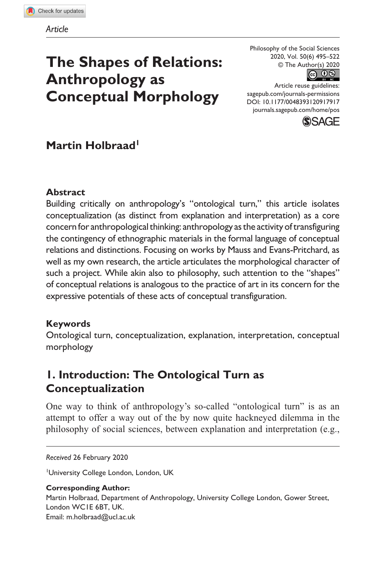# **The Shapes of Relations: Anthropology as Conceptual Morphology**

Philosophy of the Social Sciences 2020, Vol. 50(6) 495–522 © The Author(s) 2020



https://doi.org/10.1177/0048393120917917 [sagepub.com/journals-permissions](https://us.sagepub.com/en-us/journals-permissions) Article reuse guidelines: DOI: 10.1177/0048393120917917 [journals.sagepub.com/home/pos](https://journals.sagepub.com/home/pos)



# **Martin Holbraad**

### **Abstract**

Building critically on anthropology's "ontological turn," this article isolates conceptualization (as distinct from explanation and interpretation) as a core concern for anthropological thinking: anthropology as the activity of transfiguring the contingency of ethnographic materials in the formal language of conceptual relations and distinctions. Focusing on works by Mauss and Evans-Pritchard, as well as my own research, the article articulates the morphological character of such a project. While akin also to philosophy, such attention to the "shapes" of conceptual relations is analogous to the practice of art in its concern for the expressive potentials of these acts of conceptual transfiguration.

### **Keywords**

Ontological turn, conceptualization, explanation, interpretation, conceptual morphology

# **1. Introduction: The Ontological Turn as Conceptualization**

One way to think of anthropology's so-called "ontological turn" is as an attempt to offer a way out of the by now quite hackneyed dilemma in the philosophy of social sciences, between explanation and interpretation (e.g.,

#### *Received* 26 February 2020

1 University College London, London, UK

### **Corresponding Author:**

Martin Holbraad, Department of Anthropology, University College London, Gower Street, London WC1E 6BT, UK. Email: [m.holbraad@ucl.ac.uk](mailto:m.holbraad@ucl.ac.uk)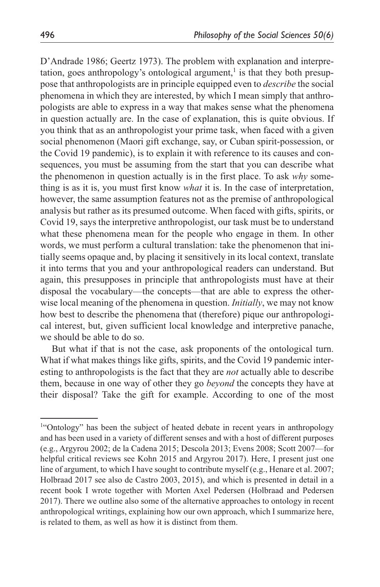D'Andrade 1986; Geertz 1973). The problem with explanation and interpretation, goes anthropology's ontological argument, $\frac{1}{1}$  is that they both presuppose that anthropologists are in principle equipped even to *describe* the social phenomena in which they are interested, by which I mean simply that anthropologists are able to express in a way that makes sense what the phenomena in question actually are. In the case of explanation, this is quite obvious. If you think that as an anthropologist your prime task, when faced with a given social phenomenon (Maori gift exchange, say, or Cuban spirit-possession, or the Covid 19 pandemic), is to explain it with reference to its causes and consequences, you must be assuming from the start that you can describe what the phenomenon in question actually is in the first place. To ask *why* something is as it is, you must first know *what* it is. In the case of interpretation, however, the same assumption features not as the premise of anthropological analysis but rather as its presumed outcome. When faced with gifts, spirits, or Covid 19, says the interpretive anthropologist, our task must be to understand what these phenomena mean for the people who engage in them. In other words, we must perform a cultural translation: take the phenomenon that initially seems opaque and, by placing it sensitively in its local context, translate it into terms that you and your anthropological readers can understand. But again, this presupposes in principle that anthropologists must have at their disposal the vocabulary—the concepts—that are able to express the otherwise local meaning of the phenomena in question. *Initially*, we may not know how best to describe the phenomena that (therefore) pique our anthropological interest, but, given sufficient local knowledge and interpretive panache, we should be able to do so.

But what if that is not the case, ask proponents of the ontological turn. What if what makes things like gifts, spirits, and the Covid 19 pandemic interesting to anthropologists is the fact that they are *not* actually able to describe them, because in one way of other they go *beyond* the concepts they have at their disposal? Take the gift for example. According to one of the most

<sup>&</sup>lt;sup>1"</sup>Ontology" has been the subject of heated debate in recent years in anthropology and has been used in a variety of different senses and with a host of different purposes (e.g., Argyrou 2002; de la Cadena 2015; Descola 2013; Evens 2008; Scott 2007—for helpful critical reviews see Kohn 2015 and Argyrou 2017). Here, I present just one line of argument, to which I have sought to contribute myself (e.g., Henare et al. 2007; Holbraad 2017 see also de Castro 2003, 2015), and which is presented in detail in a recent book I wrote together with Morten Axel Pedersen (Holbraad and Pedersen 2017). There we outline also some of the alternative approaches to ontology in recent anthropological writings, explaining how our own approach, which I summarize here, is related to them, as well as how it is distinct from them.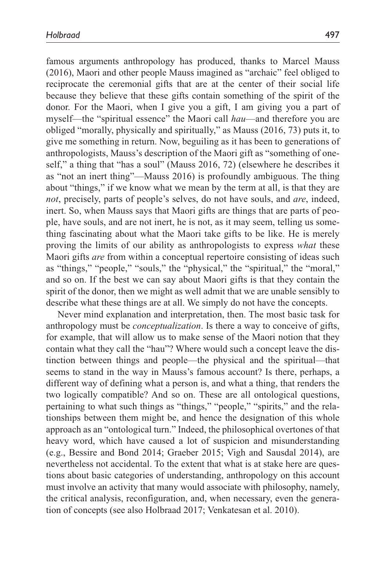famous arguments anthropology has produced, thanks to Marcel Mauss (2016), Maori and other people Mauss imagined as "archaic" feel obliged to reciprocate the ceremonial gifts that are at the center of their social life because they believe that these gifts contain something of the spirit of the donor. For the Maori, when I give you a gift, I am giving you a part of myself—the "spiritual essence" the Maori call *hau*—and therefore you are obliged "morally, physically and spiritually," as Mauss (2016, 73) puts it, to give me something in return. Now, beguiling as it has been to generations of anthropologists, Mauss's description of the Maori gift as "something of oneself," a thing that "has a soul" (Mauss 2016, 72) (elsewhere he describes it as "not an inert thing"—Mauss 2016) is profoundly ambiguous. The thing about "things," if we know what we mean by the term at all, is that they are *not*, precisely, parts of people's selves, do not have souls, and *are*, indeed, inert. So, when Mauss says that Maori gifts are things that are parts of people, have souls, and are not inert, he is not, as it may seem, telling us something fascinating about what the Maori take gifts to be like. He is merely proving the limits of our ability as anthropologists to express *what* these Maori gifts *are* from within a conceptual repertoire consisting of ideas such as "things," "people," "souls," the "physical," the "spiritual," the "moral," and so on. If the best we can say about Maori gifts is that they contain the spirit of the donor, then we might as well admit that we are unable sensibly to describe what these things are at all. We simply do not have the concepts.

Never mind explanation and interpretation, then. The most basic task for anthropology must be *conceptualization*. Is there a way to conceive of gifts, for example, that will allow us to make sense of the Maori notion that they contain what they call the "hau"? Where would such a concept leave the distinction between things and people—the physical and the spiritual—that seems to stand in the way in Mauss's famous account? Is there, perhaps, a different way of defining what a person is, and what a thing, that renders the two logically compatible? And so on. These are all ontological questions, pertaining to what such things as "things," "people," "spirits," and the relationships between them might be, and hence the designation of this whole approach as an "ontological turn." Indeed, the philosophical overtones of that heavy word, which have caused a lot of suspicion and misunderstanding (e.g., Bessire and Bond 2014; Graeber 2015; Vigh and Sausdal 2014), are nevertheless not accidental. To the extent that what is at stake here are questions about basic categories of understanding, anthropology on this account must involve an activity that many would associate with philosophy, namely, the critical analysis, reconfiguration, and, when necessary, even the generation of concepts (see also Holbraad 2017; Venkatesan et al. 2010).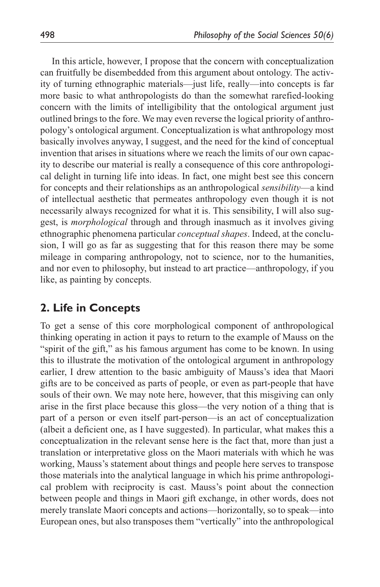In this article, however, I propose that the concern with conceptualization can fruitfully be disembedded from this argument about ontology. The activity of turning ethnographic materials—just life, really—into concepts is far more basic to what anthropologists do than the somewhat rarefied-looking concern with the limits of intelligibility that the ontological argument just outlined brings to the fore. We may even reverse the logical priority of anthropology's ontological argument. Conceptualization is what anthropology most basically involves anyway, I suggest, and the need for the kind of conceptual invention that arises in situations where we reach the limits of our own capacity to describe our material is really a consequence of this core anthropological delight in turning life into ideas. In fact, one might best see this concern for concepts and their relationships as an anthropological *sensibility*—a kind of intellectual aesthetic that permeates anthropology even though it is not necessarily always recognized for what it is. This sensibility, I will also suggest, is *morphological* through and through inasmuch as it involves giving ethnographic phenomena particular *conceptual shapes*. Indeed, at the conclusion, I will go as far as suggesting that for this reason there may be some mileage in comparing anthropology, not to science, nor to the humanities, and nor even to philosophy, but instead to art practice—anthropology, if you like, as painting by concepts.

### **2. Life in Concepts**

To get a sense of this core morphological component of anthropological thinking operating in action it pays to return to the example of Mauss on the "spirit of the gift," as his famous argument has come to be known. In using this to illustrate the motivation of the ontological argument in anthropology earlier, I drew attention to the basic ambiguity of Mauss's idea that Maori gifts are to be conceived as parts of people, or even as part-people that have souls of their own. We may note here, however, that this misgiving can only arise in the first place because this gloss—the very notion of a thing that is part of a person or even itself part-person—is an act of conceptualization (albeit a deficient one, as I have suggested). In particular, what makes this a conceptualization in the relevant sense here is the fact that, more than just a translation or interpretative gloss on the Maori materials with which he was working, Mauss's statement about things and people here serves to transpose those materials into the analytical language in which his prime anthropological problem with reciprocity is cast. Mauss's point about the connection between people and things in Maori gift exchange, in other words, does not merely translate Maori concepts and actions—horizontally, so to speak—into European ones, but also transposes them "vertically" into the anthropological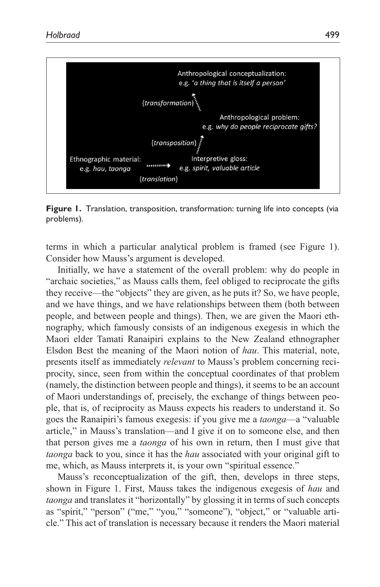

**Figure 1.** Translation, transposition, transformation: turning life into concepts (via problems).

terms in which a particular analytical problem is framed (see Figure 1). Consider how Mauss's argument is developed.

Initially, we have a statement of the overall problem: why do people in "archaic societies," as Mauss calls them, feel obliged to reciprocate the gifts they receive—the "objects" they are given, as he puts it? So, we have people, and we have things, and we have relationships between them (both between people, and between people and things). Then, we are given the Maori ethnography, which famously consists of an indigenous exegesis in which the Maori elder Tamati Ranaipiri explains to the New Zealand ethnographer Elsdon Best the meaning of the Maori notion of *hau*. This material, note, presents itself as immediately *relevant* to Mauss's problem concerning reciprocity, since, seen from within the conceptual coordinates of that problem (namely, the distinction between people and things), it seems to be an account of Maori understandings of, precisely, the exchange of things between people, that is, of reciprocity as Mauss expects his readers to understand it. So goes the Ranaipiri's famous exegesis: if you give me a *taonga*—a "valuable article," in Mauss's translation—and I give it on to someone else, and then that person gives me a *taonga* of his own in return, then I must give that *taonga* back to you, since it has the *hau* associated with your original gift to me, which, as Mauss interprets it, is your own "spiritual essence."

Mauss's reconceptualization of the gift, then, develops in three steps, shown in Figure 1. First, Mauss takes the indigenous exegesis of *hau* and *taonga* and translates it "horizontally" by glossing it in terms of such concepts as "spirit," "person" ("me," "you," "someone"), "object," or "valuable article." This act of translation is necessary because it renders the Maori material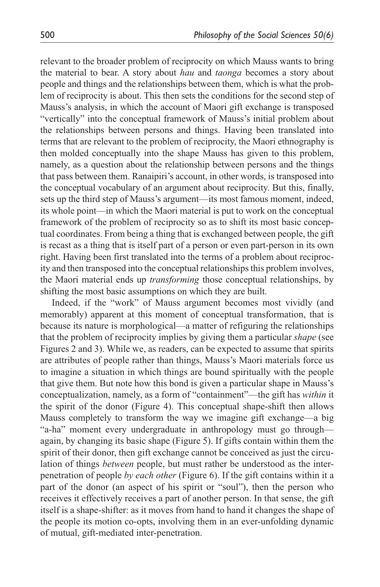relevant to the broader problem of reciprocity on which Mauss wants to bring the material to bear. A story about *hau* and *taonga* becomes a story about people and things and the relationships between them, which is what the problem of reciprocity is about. This then sets the conditions for the second step of Mauss's analysis, in which the account of Maori gift exchange is transposed "vertically" into the conceptual framework of Mauss's initial problem about the relationships between persons and things. Having been translated into terms that are relevant to the problem of reciprocity, the Maori ethnography is then molded conceptually into the shape Mauss has given to this problem, namely, as a question about the relationship between persons and the things that pass between them. Ranaipiri's account, in other words, is transposed into the conceptual vocabulary of an argument about reciprocity. But this, finally, sets up the third step of Mauss's argument—its most famous moment, indeed, its whole point—in which the Maori material is put to work on the conceptual framework of the problem of reciprocity so as to shift its most basic conceptual coordinates. From being a thing that is exchanged between people, the gift is recast as a thing that is itself part of a person or even part-person in its own right. Having been first translated into the terms of a problem about reciprocity and then transposed into the conceptual relationships this problem involves, the Maori material ends up *transforming* those conceptual relationships, by shifting the most basic assumptions on which they are built.

Indeed, if the "work" of Mauss argument becomes most vividly (and memorably) apparent at this moment of conceptual transformation, that is because its nature is morphological—a matter of refiguring the relationships that the problem of reciprocity implies by giving them a particular *shape* (see Figures 2 and 3). While we, as readers, can be expected to assume that spirits are attributes of people rather than things, Mauss's Maori materials force us to imagine a situation in which things are bound spiritually with the people that give them. But note how this bond is given a particular shape in Mauss's conceptualization, namely, as a form of "containment"—the gift has *within* it the spirit of the donor (Figure 4). This conceptual shape-shift then allows Mauss completely to transform the way we imagine gift exchange—a big "a-ha" moment every undergraduate in anthropology must go through again, by changing its basic shape (Figure 5). If gifts contain within them the spirit of their donor, then gift exchange cannot be conceived as just the circulation of things *between* people, but must rather be understood as the interpenetration of people *by each other* (Figure 6). If the gift contains within it a part of the donor (an aspect of his spirit or "soul"), then the person who receives it effectively receives a part of another person. In that sense, the gift itself is a shape-shifter: as it moves from hand to hand it changes the shape of the people its motion co-opts, involving them in an ever-unfolding dynamic of mutual, gift-mediated inter-penetration.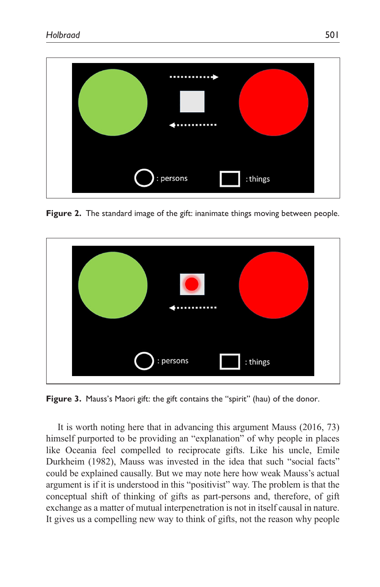

**Figure 2.** The standard image of the gift: inanimate things moving between people.



**Figure 3.** Mauss's Maori gift: the gift contains the "spirit" (hau) of the donor.

It is worth noting here that in advancing this argument Mauss (2016, 73) himself purported to be providing an "explanation" of why people in places like Oceania feel compelled to reciprocate gifts. Like his uncle, Emile Durkheim (1982), Mauss was invested in the idea that such "social facts" could be explained causally. But we may note here how weak Mauss's actual argument is if it is understood in this "positivist" way. The problem is that the conceptual shift of thinking of gifts as part-persons and, therefore, of gift exchange as a matter of mutual interpenetration is not in itself causal in nature. It gives us a compelling new way to think of gifts, not the reason why people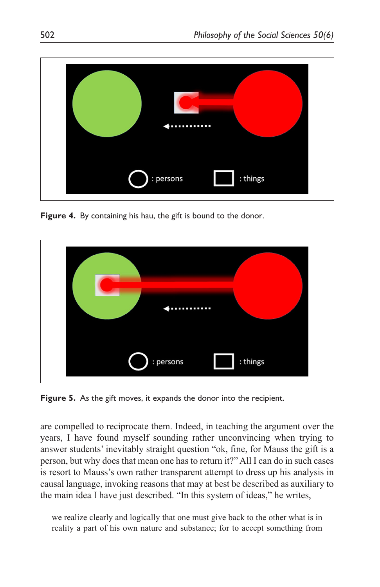

**Figure 4.** By containing his hau, the gift is bound to the donor.



**Figure 5.** As the gift moves, it expands the donor into the recipient.

are compelled to reciprocate them. Indeed, in teaching the argument over the years, I have found myself sounding rather unconvincing when trying to answer students' inevitably straight question "ok, fine, for Mauss the gift is a person, but why does that mean one has to return it?" All I can do in such cases is resort to Mauss's own rather transparent attempt to dress up his analysis in causal language, invoking reasons that may at best be described as auxiliary to the main idea I have just described. "In this system of ideas," he writes,

we realize clearly and logically that one must give back to the other what is in reality a part of his own nature and substance; for to accept something from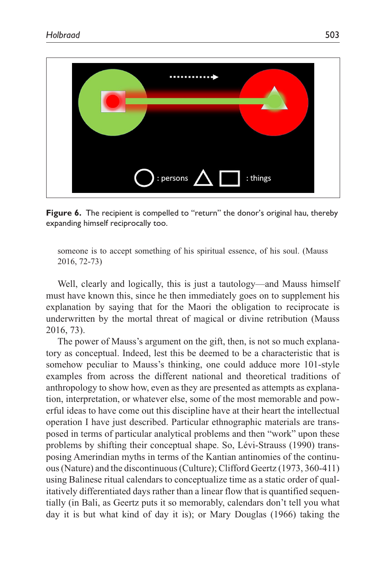

**Figure 6.** The recipient is compelled to "return" the donor's original hau, thereby expanding himself reciprocally too.

someone is to accept something of his spiritual essence, of his soul. (Mauss 2016, 72-73)

Well, clearly and logically, this is just a tautology—and Mauss himself must have known this, since he then immediately goes on to supplement his explanation by saying that for the Maori the obligation to reciprocate is underwritten by the mortal threat of magical or divine retribution (Mauss 2016, 73).

The power of Mauss's argument on the gift, then, is not so much explanatory as conceptual. Indeed, lest this be deemed to be a characteristic that is somehow peculiar to Mauss's thinking, one could adduce more 101-style examples from across the different national and theoretical traditions of anthropology to show how, even as they are presented as attempts as explanation, interpretation, or whatever else, some of the most memorable and powerful ideas to have come out this discipline have at their heart the intellectual operation I have just described. Particular ethnographic materials are transposed in terms of particular analytical problems and then "work" upon these problems by shifting their conceptual shape. So, Lévi-Strauss (1990) transposing Amerindian myths in terms of the Kantian antinomies of the continuous (Nature) and the discontinuous (Culture); Clifford Geertz (1973, 360-411) using Balinese ritual calendars to conceptualize time as a static order of qualitatively differentiated days rather than a linear flow that is quantified sequentially (in Bali, as Geertz puts it so memorably, calendars don't tell you what day it is but what kind of day it is); or Mary Douglas (1966) taking the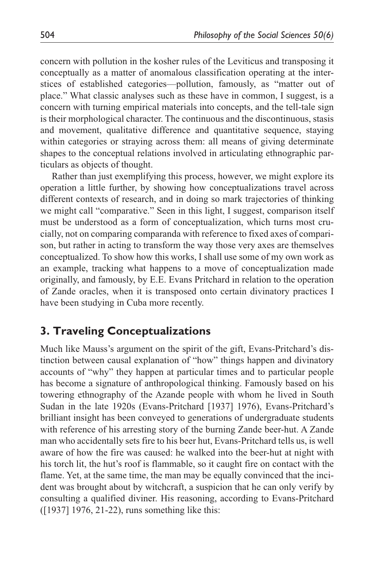concern with pollution in the kosher rules of the Leviticus and transposing it conceptually as a matter of anomalous classification operating at the interstices of established categories—pollution, famously, as "matter out of place." What classic analyses such as these have in common, I suggest, is a concern with turning empirical materials into concepts, and the tell-tale sign is their morphological character. The continuous and the discontinuous, stasis and movement, qualitative difference and quantitative sequence, staying within categories or straying across them: all means of giving determinate shapes to the conceptual relations involved in articulating ethnographic particulars as objects of thought.

Rather than just exemplifying this process, however, we might explore its operation a little further, by showing how conceptualizations travel across different contexts of research, and in doing so mark trajectories of thinking we might call "comparative." Seen in this light, I suggest, comparison itself must be understood as a form of conceptualization, which turns most crucially, not on comparing comparanda with reference to fixed axes of comparison, but rather in acting to transform the way those very axes are themselves conceptualized. To show how this works, I shall use some of my own work as an example, tracking what happens to a move of conceptualization made originally, and famously, by E.E. Evans Pritchard in relation to the operation of Zande oracles, when it is transposed onto certain divinatory practices I have been studying in Cuba more recently.

### **3. Traveling Conceptualizations**

Much like Mauss's argument on the spirit of the gift, Evans-Pritchard's distinction between causal explanation of "how" things happen and divinatory accounts of "why" they happen at particular times and to particular people has become a signature of anthropological thinking. Famously based on his towering ethnography of the Azande people with whom he lived in South Sudan in the late 1920s (Evans-Pritchard [1937] 1976), Evans-Pritchard's brilliant insight has been conveyed to generations of undergraduate students with reference of his arresting story of the burning Zande beer-hut. A Zande man who accidentally sets fire to his beer hut, Evans-Pritchard tells us, is well aware of how the fire was caused: he walked into the beer-hut at night with his torch lit, the hut's roof is flammable, so it caught fire on contact with the flame. Yet, at the same time, the man may be equally convinced that the incident was brought about by witchcraft, a suspicion that he can only verify by consulting a qualified diviner. His reasoning, according to Evans-Pritchard ([1937] 1976, 21-22), runs something like this: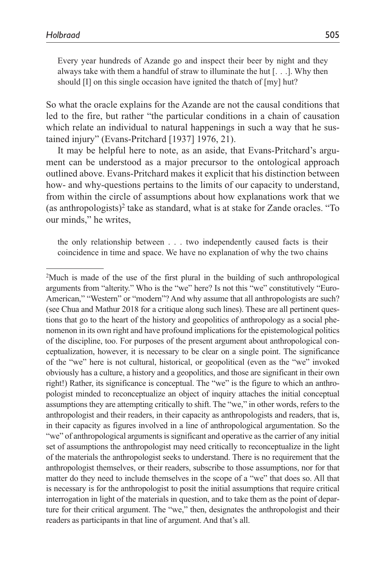Every year hundreds of Azande go and inspect their beer by night and they always take with them a handful of straw to illuminate the hut [. . .]. Why then should [I] on this single occasion have ignited the thatch of [my] hut?

So what the oracle explains for the Azande are not the causal conditions that led to the fire, but rather "the particular conditions in a chain of causation which relate an individual to natural happenings in such a way that he sustained injury" (Evans-Pritchard [1937] 1976, 21).

It may be helpful here to note, as an aside, that Evans-Pritchard's argument can be understood as a major precursor to the ontological approach outlined above. Evans-Pritchard makes it explicit that his distinction between how- and why-questions pertains to the limits of our capacity to understand, from within the circle of assumptions about how explanations work that we (as anthropologists)<sup>2</sup> take as standard, what is at stake for Zande oracles. "To our minds," he writes,

the only relationship between . . . two independently caused facts is their coincidence in time and space. We have no explanation of why the two chains

<sup>2</sup> Much is made of the use of the first plural in the building of such anthropological arguments from "alterity." Who is the "we" here? Is not this "we" constitutively "Euro-American," "Western" or "modern"? And why assume that all anthropologists are such? (see Chua and Mathur 2018 for a critique along such lines). These are all pertinent questions that go to the heart of the history and geopolitics of anthropology as a social phenomenon in its own right and have profound implications for the epistemological politics of the discipline, too. For purposes of the present argument about anthropological conceptualization, however, it is necessary to be clear on a single point. The significance of the "we" here is not cultural, historical, or geopolitical (even as the "we" invoked obviously has a culture, a history and a geopolitics, and those are significant in their own right!) Rather, its significance is conceptual. The "we" is the figure to which an anthropologist minded to reconceptualize an object of inquiry attaches the initial conceptual assumptions they are attempting critically to shift. The "we," in other words, refers to the anthropologist and their readers, in their capacity as anthropologists and readers, that is, in their capacity as figures involved in a line of anthropological argumentation. So the "we" of anthropological arguments is significant and operative as the carrier of any initial set of assumptions the anthropologist may need critically to reconceptualize in the light of the materials the anthropologist seeks to understand. There is no requirement that the anthropologist themselves, or their readers, subscribe to those assumptions, nor for that matter do they need to include themselves in the scope of a "we" that does so. All that is necessary is for the anthropologist to posit the initial assumptions that require critical interrogation in light of the materials in question, and to take them as the point of departure for their critical argument. The "we," then, designates the anthropologist and their readers as participants in that line of argument. And that's all.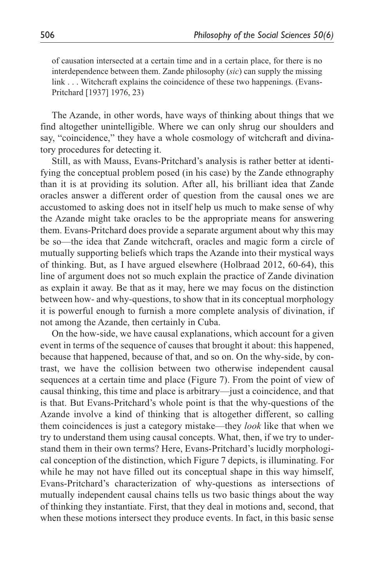of causation intersected at a certain time and in a certain place, for there is no interdependence between them. Zande philosophy (*sic*) can supply the missing link . . . Witchcraft explains the coincidence of these two happenings. (Evans-Pritchard [1937] 1976, 23)

The Azande, in other words, have ways of thinking about things that we find altogether unintelligible. Where we can only shrug our shoulders and say, "coincidence," they have a whole cosmology of witchcraft and divinatory procedures for detecting it.

Still, as with Mauss, Evans-Pritchard's analysis is rather better at identifying the conceptual problem posed (in his case) by the Zande ethnography than it is at providing its solution. After all, his brilliant idea that Zande oracles answer a different order of question from the causal ones we are accustomed to asking does not in itself help us much to make sense of why the Azande might take oracles to be the appropriate means for answering them. Evans-Pritchard does provide a separate argument about why this may be so—the idea that Zande witchcraft, oracles and magic form a circle of mutually supporting beliefs which traps the Azande into their mystical ways of thinking. But, as I have argued elsewhere (Holbraad 2012, 60-64), this line of argument does not so much explain the practice of Zande divination as explain it away. Be that as it may, here we may focus on the distinction between how- and why-questions, to show that in its conceptual morphology it is powerful enough to furnish a more complete analysis of divination, if not among the Azande, then certainly in Cuba.

On the how-side, we have causal explanations, which account for a given event in terms of the sequence of causes that brought it about: this happened, because that happened, because of that, and so on. On the why-side, by contrast, we have the collision between two otherwise independent causal sequences at a certain time and place (Figure 7). From the point of view of causal thinking, this time and place is arbitrary—just a coincidence, and that is that. But Evans-Pritchard's whole point is that the why-questions of the Azande involve a kind of thinking that is altogether different, so calling them coincidences is just a category mistake—they *look* like that when we try to understand them using causal concepts. What, then, if we try to understand them in their own terms? Here, Evans-Pritchard's lucidly morphological conception of the distinction, which Figure 7 depicts, is illuminating. For while he may not have filled out its conceptual shape in this way himself, Evans-Pritchard's characterization of why-questions as intersections of mutually independent causal chains tells us two basic things about the way of thinking they instantiate. First, that they deal in motions and, second, that when these motions intersect they produce events. In fact, in this basic sense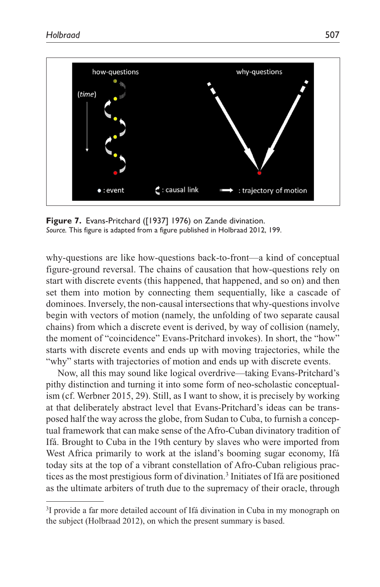

**Figure 7.** Evans-Pritchard ([1937] 1976) on Zande divination. *Source.* This figure is adapted from a figure published in Holbraad 2012, 199.

why-questions are like how-questions back-to-front—a kind of conceptual figure-ground reversal. The chains of causation that how-questions rely on start with discrete events (this happened, that happened, and so on) and then set them into motion by connecting them sequentially, like a cascade of dominoes. Inversely, the non-causal intersections that why-questions involve begin with vectors of motion (namely, the unfolding of two separate causal chains) from which a discrete event is derived, by way of collision (namely, the moment of "coincidence" Evans-Pritchard invokes). In short, the "how" starts with discrete events and ends up with moving trajectories, while the "why" starts with trajectories of motion and ends up with discrete events.

Now, all this may sound like logical overdrive—taking Evans-Pritchard's pithy distinction and turning it into some form of neo-scholastic conceptualism (cf. Werbner 2015, 29). Still, as I want to show, it is precisely by working at that deliberately abstract level that Evans-Pritchard's ideas can be transposed half the way across the globe, from Sudan to Cuba, to furnish a conceptual framework that can make sense of the Afro-Cuban divinatory tradition of Ifá. Brought to Cuba in the 19th century by slaves who were imported from West Africa primarily to work at the island's booming sugar economy, Ifá today sits at the top of a vibrant constellation of Afro-Cuban religious practices as the most prestigious form of divination.<sup>3</sup> Initiates of Ifá are positioned as the ultimate arbiters of truth due to the supremacy of their oracle, through

<sup>&</sup>lt;sup>3</sup>I provide a far more detailed account of Ifá divination in Cuba in my monograph on the subject (Holbraad 2012), on which the present summary is based.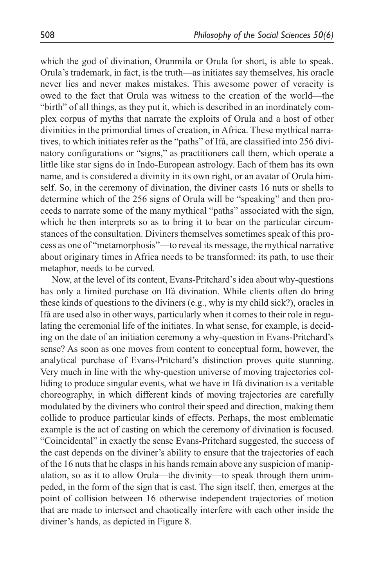which the god of divination, Orunmila or Orula for short, is able to speak. Orula's trademark, in fact, is the truth—as initiates say themselves, his oracle never lies and never makes mistakes. This awesome power of veracity is owed to the fact that Orula was witness to the creation of the world—the "birth" of all things, as they put it, which is described in an inordinately complex corpus of myths that narrate the exploits of Orula and a host of other divinities in the primordial times of creation, in Africa. These mythical narratives, to which initiates refer as the "paths" of Ifá, are classified into 256 divinatory configurations or "signs," as practitioners call them, which operate a little like star signs do in Indo-European astrology. Each of them has its own name, and is considered a divinity in its own right, or an avatar of Orula himself. So, in the ceremony of divination, the diviner casts 16 nuts or shells to determine which of the 256 signs of Orula will be "speaking" and then proceeds to narrate some of the many mythical "paths" associated with the sign, which he then interprets so as to bring it to bear on the particular circumstances of the consultation. Diviners themselves sometimes speak of this process as one of "metamorphosis"—to reveal its message, the mythical narrative about originary times in Africa needs to be transformed: its path, to use their metaphor, needs to be curved.

Now, at the level of its content, Evans-Pritchard's idea about why-questions has only a limited purchase on Ifá divination. While clients often do bring these kinds of questions to the diviners (e.g., why is my child sick?), oracles in Ifá are used also in other ways, particularly when it comes to their role in regulating the ceremonial life of the initiates. In what sense, for example, is deciding on the date of an initiation ceremony a why-question in Evans-Pritchard's sense? As soon as one moves from content to conceptual form, however, the analytical purchase of Evans-Pritchard's distinction proves quite stunning. Very much in line with the why-question universe of moving trajectories colliding to produce singular events, what we have in Ifá divination is a veritable choreography, in which different kinds of moving trajectories are carefully modulated by the diviners who control their speed and direction, making them collide to produce particular kinds of effects. Perhaps, the most emblematic example is the act of casting on which the ceremony of divination is focused. "Coincidental" in exactly the sense Evans-Pritchard suggested, the success of the cast depends on the diviner's ability to ensure that the trajectories of each of the 16 nuts that he clasps in his hands remain above any suspicion of manipulation, so as it to allow Orula—the divinity—to speak through them unimpeded, in the form of the sign that is cast. The sign itself, then, emerges at the point of collision between 16 otherwise independent trajectories of motion that are made to intersect and chaotically interfere with each other inside the diviner's hands, as depicted in Figure 8.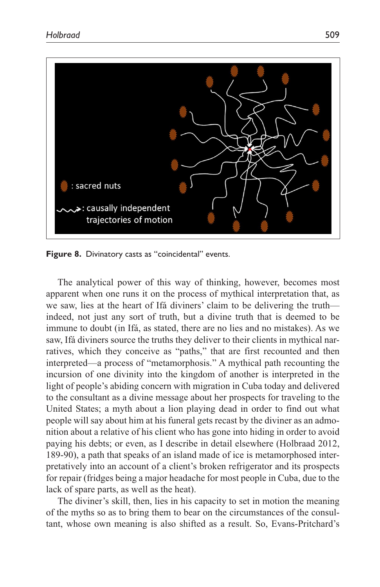

**Figure 8.** Divinatory casts as "coincidental" events.

The analytical power of this way of thinking, however, becomes most apparent when one runs it on the process of mythical interpretation that, as we saw, lies at the heart of Ifá diviners' claim to be delivering the truth indeed, not just any sort of truth, but a divine truth that is deemed to be immune to doubt (in Ifá, as stated, there are no lies and no mistakes). As we saw, Ifá diviners source the truths they deliver to their clients in mythical narratives, which they conceive as "paths," that are first recounted and then interpreted—a process of "metamorphosis." A mythical path recounting the incursion of one divinity into the kingdom of another is interpreted in the light of people's abiding concern with migration in Cuba today and delivered to the consultant as a divine message about her prospects for traveling to the United States; a myth about a lion playing dead in order to find out what people will say about him at his funeral gets recast by the diviner as an admonition about a relative of his client who has gone into hiding in order to avoid paying his debts; or even, as I describe in detail elsewhere (Holbraad 2012, 189-90), a path that speaks of an island made of ice is metamorphosed interpretatively into an account of a client's broken refrigerator and its prospects for repair (fridges being a major headache for most people in Cuba, due to the lack of spare parts, as well as the heat).

The diviner's skill, then, lies in his capacity to set in motion the meaning of the myths so as to bring them to bear on the circumstances of the consultant, whose own meaning is also shifted as a result. So, Evans-Pritchard's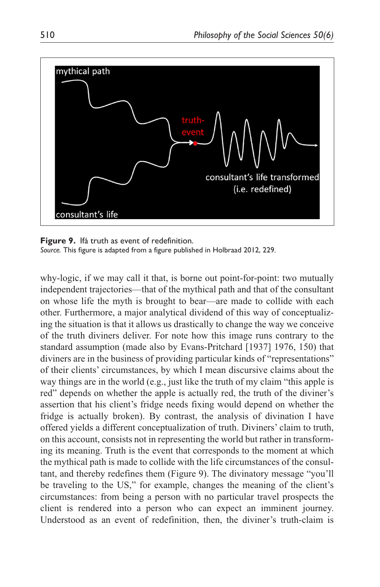

**Figure 9.** Ifá truth as event of redefinition. *Source.* This figure is adapted from a figure published in Holbraad 2012, 229.

why-logic, if we may call it that, is borne out point-for-point: two mutually independent trajectories—that of the mythical path and that of the consultant on whose life the myth is brought to bear—are made to collide with each other. Furthermore, a major analytical dividend of this way of conceptualizing the situation is that it allows us drastically to change the way we conceive of the truth diviners deliver. For note how this image runs contrary to the standard assumption (made also by Evans-Pritchard [1937] 1976, 150) that diviners are in the business of providing particular kinds of "representations" of their clients' circumstances, by which I mean discursive claims about the way things are in the world (e.g., just like the truth of my claim "this apple is red" depends on whether the apple is actually red, the truth of the diviner's assertion that his client's fridge needs fixing would depend on whether the fridge is actually broken). By contrast, the analysis of divination I have offered yields a different conceptualization of truth. Diviners' claim to truth, on this account, consists not in representing the world but rather in transforming its meaning. Truth is the event that corresponds to the moment at which the mythical path is made to collide with the life circumstances of the consultant, and thereby redefines them (Figure 9). The divinatory message "you'll be traveling to the US," for example, changes the meaning of the client's circumstances: from being a person with no particular travel prospects the client is rendered into a person who can expect an imminent journey. Understood as an event of redefinition, then, the diviner's truth-claim is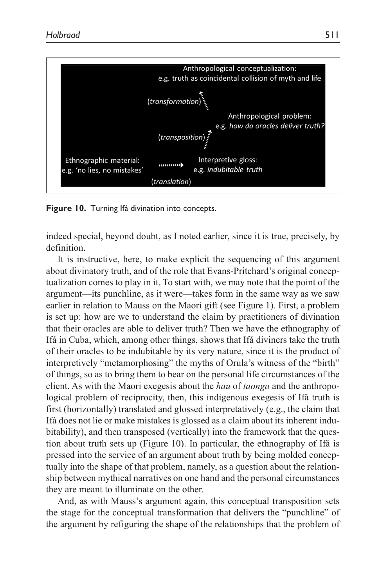

**Figure 10.** Turning Ifá divination into concepts.

indeed special, beyond doubt, as I noted earlier, since it is true, precisely, by definition.

It is instructive, here, to make explicit the sequencing of this argument about divinatory truth, and of the role that Evans-Pritchard's original conceptualization comes to play in it. To start with, we may note that the point of the argument—its punchline, as it were—takes form in the same way as we saw earlier in relation to Mauss on the Maori gift (see Figure 1). First, a problem is set up: how are we to understand the claim by practitioners of divination that their oracles are able to deliver truth? Then we have the ethnography of Ifá in Cuba, which, among other things, shows that Ifá diviners take the truth of their oracles to be indubitable by its very nature, since it is the product of interpretively "metamorphosing" the myths of Orula's witness of the "birth" of things, so as to bring them to bear on the personal life circumstances of the client. As with the Maori exegesis about the *hau* of *taonga* and the anthropological problem of reciprocity, then, this indigenous exegesis of Ifá truth is first (horizontally) translated and glossed interpretatively (e.g., the claim that Ifá does not lie or make mistakes is glossed as a claim about its inherent indubitability), and then transposed (vertically) into the framework that the question about truth sets up (Figure 10). In particular, the ethnography of Ifá is pressed into the service of an argument about truth by being molded conceptually into the shape of that problem, namely, as a question about the relationship between mythical narratives on one hand and the personal circumstances they are meant to illuminate on the other.

And, as with Mauss's argument again, this conceptual transposition sets the stage for the conceptual transformation that delivers the "punchline" of the argument by refiguring the shape of the relationships that the problem of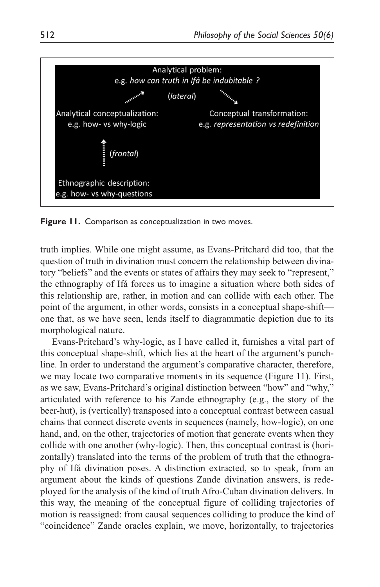

**Figure 11.** Comparison as conceptualization in two moves.

truth implies. While one might assume, as Evans-Pritchard did too, that the question of truth in divination must concern the relationship between divinatory "beliefs" and the events or states of affairs they may seek to "represent," the ethnography of Ifá forces us to imagine a situation where both sides of this relationship are, rather, in motion and can collide with each other. The point of the argument, in other words, consists in a conceptual shape-shift one that, as we have seen, lends itself to diagrammatic depiction due to its morphological nature.

Evans-Pritchard's why-logic, as I have called it, furnishes a vital part of this conceptual shape-shift, which lies at the heart of the argument's punchline. In order to understand the argument's comparative character, therefore, we may locate two comparative moments in its sequence (Figure 11). First, as we saw, Evans-Pritchard's original distinction between "how" and "why," articulated with reference to his Zande ethnography (e.g., the story of the beer-hut), is (vertically) transposed into a conceptual contrast between casual chains that connect discrete events in sequences (namely, how-logic), on one hand, and, on the other, trajectories of motion that generate events when they collide with one another (why-logic). Then, this conceptual contrast is (horizontally) translated into the terms of the problem of truth that the ethnography of Ifá divination poses. A distinction extracted, so to speak, from an argument about the kinds of questions Zande divination answers, is redeployed for the analysis of the kind of truth Afro-Cuban divination delivers. In this way, the meaning of the conceptual figure of colliding trajectories of motion is reassigned: from causal sequences colliding to produce the kind of "coincidence" Zande oracles explain, we move, horizontally, to trajectories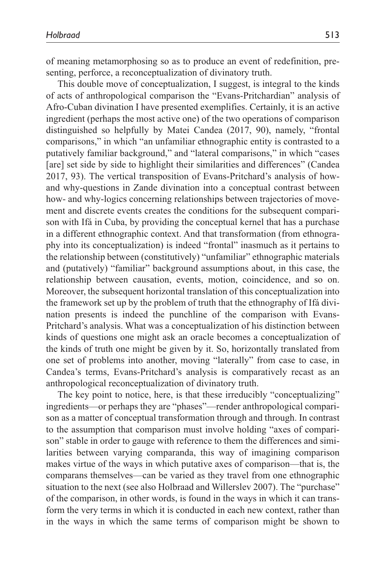of meaning metamorphosing so as to produce an event of redefinition, presenting, perforce, a reconceptualization of divinatory truth.

This double move of conceptualization, I suggest, is integral to the kinds of acts of anthropological comparison the "Evans-Pritchardian" analysis of Afro-Cuban divination I have presented exemplifies. Certainly, it is an active ingredient (perhaps the most active one) of the two operations of comparison distinguished so helpfully by Matei Candea (2017, 90), namely, "frontal comparisons," in which "an unfamiliar ethnographic entity is contrasted to a putatively familiar background," and "lateral comparisons," in which "cases [are] set side by side to highlight their similarities and differences" (Candea 2017, 93). The vertical transposition of Evans-Pritchard's analysis of howand why-questions in Zande divination into a conceptual contrast between how- and why-logics concerning relationships between trajectories of movement and discrete events creates the conditions for the subsequent comparison with Ifá in Cuba, by providing the conceptual kernel that has a purchase in a different ethnographic context. And that transformation (from ethnography into its conceptualization) is indeed "frontal" inasmuch as it pertains to the relationship between (constitutively) "unfamiliar" ethnographic materials and (putatively) "familiar" background assumptions about, in this case, the relationship between causation, events, motion, coincidence, and so on. Moreover, the subsequent horizontal translation of this conceptualization into the framework set up by the problem of truth that the ethnography of Ifá divination presents is indeed the punchline of the comparison with Evans-Pritchard's analysis. What was a conceptualization of his distinction between kinds of questions one might ask an oracle becomes a conceptualization of the kinds of truth one might be given by it. So, horizontally translated from one set of problems into another, moving "laterally" from case to case, in Candea's terms, Evans-Pritchard's analysis is comparatively recast as an anthropological reconceptualization of divinatory truth.

The key point to notice, here, is that these irreducibly "conceptualizing" ingredients—or perhaps they are "phases"—render anthropological comparison as a matter of conceptual transformation through and through. In contrast to the assumption that comparison must involve holding "axes of comparison" stable in order to gauge with reference to them the differences and similarities between varying comparanda, this way of imagining comparison makes virtue of the ways in which putative axes of comparison—that is, the comparans themselves—can be varied as they travel from one ethnographic situation to the next (see also Holbraad and Willerslev 2007). The "purchase" of the comparison, in other words, is found in the ways in which it can transform the very terms in which it is conducted in each new context, rather than in the ways in which the same terms of comparison might be shown to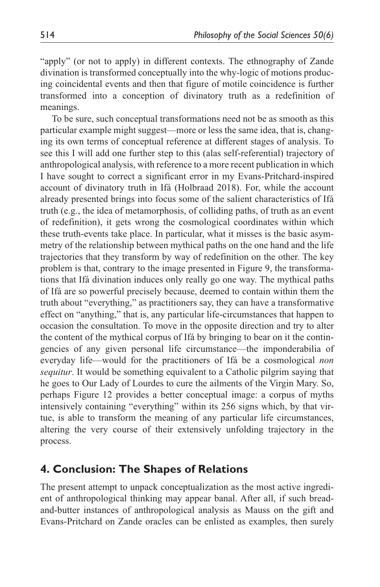"apply" (or not to apply) in different contexts. The ethnography of Zande divination is transformed conceptually into the why-logic of motions producing coincidental events and then that figure of motile coincidence is further transformed into a conception of divinatory truth as a redefinition of meanings.

To be sure, such conceptual transformations need not be as smooth as this particular example might suggest—more or less the same idea, that is, changing its own terms of conceptual reference at different stages of analysis. To see this I will add one further step to this (alas self-referential) trajectory of anthropological analysis, with reference to a more recent publication in which I have sought to correct a significant error in my Evans-Pritchard-inspired account of divinatory truth in Ifá (Holbraad 2018). For, while the account already presented brings into focus some of the salient characteristics of Ifá truth (e.g., the idea of metamorphosis, of colliding paths, of truth as an event of redefinition), it gets wrong the cosmological coordinates within which these truth-events take place. In particular, what it misses is the basic asymmetry of the relationship between mythical paths on the one hand and the life trajectories that they transform by way of redefinition on the other. The key problem is that, contrary to the image presented in Figure 9, the transformations that Ifá divination induces only really go one way. The mythical paths of Ifá are so powerful precisely because, deemed to contain within them the truth about "everything," as practitioners say, they can have a transformative effect on "anything," that is, any particular life-circumstances that happen to occasion the consultation. To move in the opposite direction and try to alter the content of the mythical corpus of Ifá by bringing to bear on it the contingencies of any given personal life circumstance—the imponderabilia of everyday life—would for the practitioners of Ifá be a cosmological *non sequitur*. It would be something equivalent to a Catholic pilgrim saying that he goes to Our Lady of Lourdes to cure the ailments of the Virgin Mary. So, perhaps Figure 12 provides a better conceptual image: a corpus of myths intensively containing "everything" within its 256 signs which, by that virtue, is able to transform the meaning of any particular life circumstances, altering the very course of their extensively unfolding trajectory in the process.

### **4. Conclusion: The Shapes of Relations**

The present attempt to unpack conceptualization as the most active ingredient of anthropological thinking may appear banal. After all, if such breadand-butter instances of anthropological analysis as Mauss on the gift and Evans-Pritchard on Zande oracles can be enlisted as examples, then surely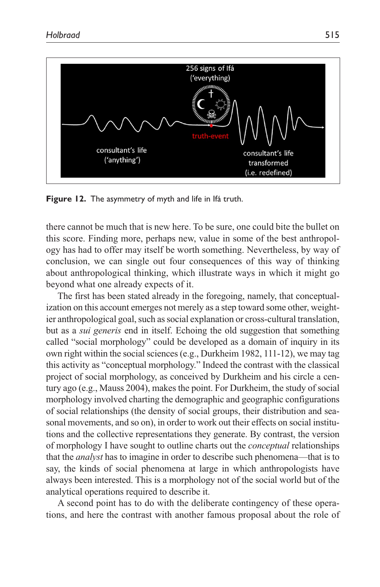

**Figure 12.** The asymmetry of myth and life in Ifá truth.

there cannot be much that is new here. To be sure, one could bite the bullet on this score. Finding more, perhaps new, value in some of the best anthropology has had to offer may itself be worth something. Nevertheless, by way of conclusion, we can single out four consequences of this way of thinking about anthropological thinking, which illustrate ways in which it might go beyond what one already expects of it.

The first has been stated already in the foregoing, namely, that conceptualization on this account emerges not merely as a step toward some other, weightier anthropological goal, such as social explanation or cross-cultural translation, but as a *sui generis* end in itself. Echoing the old suggestion that something called "social morphology" could be developed as a domain of inquiry in its own right within the social sciences (e.g., Durkheim 1982, 111-12), we may tag this activity as "conceptual morphology." Indeed the contrast with the classical project of social morphology, as conceived by Durkheim and his circle a century ago (e.g., Mauss 2004), makes the point. For Durkheim, the study of social morphology involved charting the demographic and geographic configurations of social relationships (the density of social groups, their distribution and seasonal movements, and so on), in order to work out their effects on social institutions and the collective representations they generate. By contrast, the version of morphology I have sought to outline charts out the *conceptual* relationships that the *analyst* has to imagine in order to describe such phenomena—that is to say, the kinds of social phenomena at large in which anthropologists have always been interested. This is a morphology not of the social world but of the analytical operations required to describe it.

A second point has to do with the deliberate contingency of these operations, and here the contrast with another famous proposal about the role of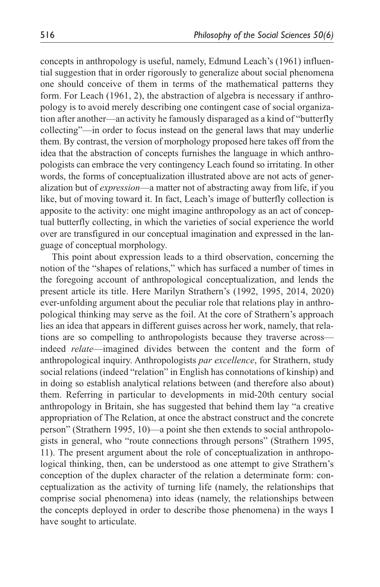concepts in anthropology is useful, namely, Edmund Leach's (1961) influential suggestion that in order rigorously to generalize about social phenomena one should conceive of them in terms of the mathematical patterns they form. For Leach (1961, 2), the abstraction of algebra is necessary if anthropology is to avoid merely describing one contingent case of social organization after another—an activity he famously disparaged as a kind of "butterfly collecting"—in order to focus instead on the general laws that may underlie them. By contrast, the version of morphology proposed here takes off from the idea that the abstraction of concepts furnishes the language in which anthropologists can embrace the very contingency Leach found so irritating. In other words, the forms of conceptualization illustrated above are not acts of generalization but of *expression*—a matter not of abstracting away from life, if you like, but of moving toward it. In fact, Leach's image of butterfly collection is apposite to the activity: one might imagine anthropology as an act of conceptual butterfly collecting, in which the varieties of social experience the world over are transfigured in our conceptual imagination and expressed in the language of conceptual morphology.

This point about expression leads to a third observation, concerning the notion of the "shapes of relations," which has surfaced a number of times in the foregoing account of anthropological conceptualization, and lends the present article its title. Here Marilyn Strathern's (1992, 1995, 2014, 2020) ever-unfolding argument about the peculiar role that relations play in anthropological thinking may serve as the foil. At the core of Strathern's approach lies an idea that appears in different guises across her work, namely, that relations are so compelling to anthropologists because they traverse across indeed *relate*—imagined divides between the content and the form of anthropological inquiry. Anthropologists *par excellence*, for Strathern, study social relations (indeed "relation" in English has connotations of kinship) and in doing so establish analytical relations between (and therefore also about) them. Referring in particular to developments in mid-20th century social anthropology in Britain, she has suggested that behind them lay "a creative appropriation of The Relation, at once the abstract construct and the concrete person" (Strathern 1995, 10)—a point she then extends to social anthropologists in general, who "route connections through persons" (Strathern 1995, 11). The present argument about the role of conceptualization in anthropological thinking, then, can be understood as one attempt to give Strathern's conception of the duplex character of the relation a determinate form: conceptualization as the activity of turning life (namely, the relationships that comprise social phenomena) into ideas (namely, the relationships between the concepts deployed in order to describe those phenomena) in the ways I have sought to articulate.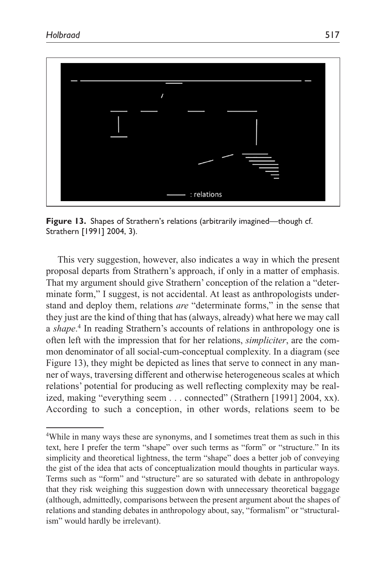

**Figure 13.** Shapes of Strathern's relations (arbitrarily imagined—though cf. Strathern [1991] 2004, 3).

This very suggestion, however, also indicates a way in which the present proposal departs from Strathern's approach, if only in a matter of emphasis. That my argument should give Strathern' conception of the relation a "determinate form," I suggest, is not accidental. At least as anthropologists understand and deploy them, relations *are* "determinate forms," in the sense that they just are the kind of thing that has (always, already) what here we may call a *shape*. 4 In reading Strathern's accounts of relations in anthropology one is often left with the impression that for her relations, *simpliciter*, are the common denominator of all social-cum-conceptual complexity. In a diagram (see Figure 13), they might be depicted as lines that serve to connect in any manner of ways, traversing different and otherwise heterogeneous scales at which relations' potential for producing as well reflecting complexity may be realized, making "everything seem . . . connected" (Strathern [1991] 2004, xx). According to such a conception, in other words, relations seem to be

<sup>4</sup> While in many ways these are synonyms, and I sometimes treat them as such in this text, here I prefer the term "shape" over such terms as "form" or "structure." In its simplicity and theoretical lightness, the term "shape" does a better job of conveying the gist of the idea that acts of conceptualization mould thoughts in particular ways. Terms such as "form" and "structure" are so saturated with debate in anthropology that they risk weighing this suggestion down with unnecessary theoretical baggage (although, admittedly, comparisons between the present argument about the shapes of relations and standing debates in anthropology about, say, "formalism" or "structuralism" would hardly be irrelevant).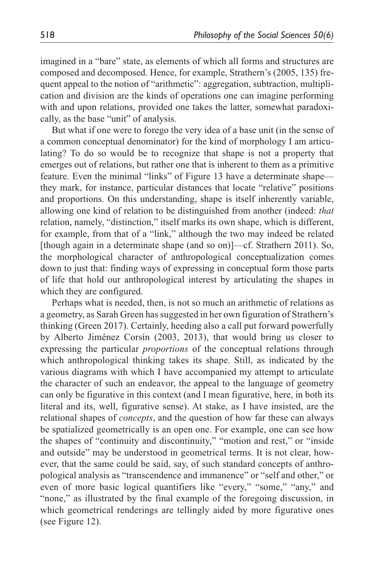imagined in a "bare" state, as elements of which all forms and structures are composed and decomposed. Hence, for example, Strathern's (2005, 135) frequent appeal to the notion of "arithmetic": aggregation, subtraction, multiplication and division are the kinds of operations one can imagine performing with and upon relations, provided one takes the latter, somewhat paradoxically, as the base "unit" of analysis.

But what if one were to forego the very idea of a base unit (in the sense of a common conceptual denominator) for the kind of morphology I am articulating? To do so would be to recognize that shape is not a property that emerges out of relations, but rather one that is inherent to them as a primitive feature. Even the minimal "links" of Figure 13 have a determinate shape they mark, for instance, particular distances that locate "relative" positions and proportions. On this understanding, shape is itself inherently variable, allowing one kind of relation to be distinguished from another (indeed: *that* relation, namely, "distinction," itself marks its own shape, which is different, for example, from that of a "link," although the two may indeed be related [though again in a determinate shape (and so on)]—cf. Strathern 2011). So, the morphological character of anthropological conceptualization comes down to just that: finding ways of expressing in conceptual form those parts of life that hold our anthropological interest by articulating the shapes in which they are configured.

Perhaps what is needed, then, is not so much an arithmetic of relations as a geometry, as Sarah Green has suggested in her own figuration of Strathern's thinking (Green 2017). Certainly, heeding also a call put forward powerfully by Alberto Jiménez Corsín (2003, 2013), that would bring us closer to expressing the particular *proportions* of the conceptual relations through which anthropological thinking takes its shape. Still, as indicated by the various diagrams with which I have accompanied my attempt to articulate the character of such an endeavor, the appeal to the language of geometry can only be figurative in this context (and I mean figurative, here, in both its literal and its, well, figurative sense). At stake, as I have insisted, are the relational shapes of *concepts*, and the question of how far these can always be spatialized geometrically is an open one. For example, one can see how the shapes of "continuity and discontinuity," "motion and rest," or "inside and outside" may be understood in geometrical terms. It is not clear, however, that the same could be said, say, of such standard concepts of anthropological analysis as "transcendence and immanence" or "self and other," or even of more basic logical quantifiers like "every," "some," "any," and "none," as illustrated by the final example of the foregoing discussion, in which geometrical renderings are tellingly aided by more figurative ones (see Figure 12).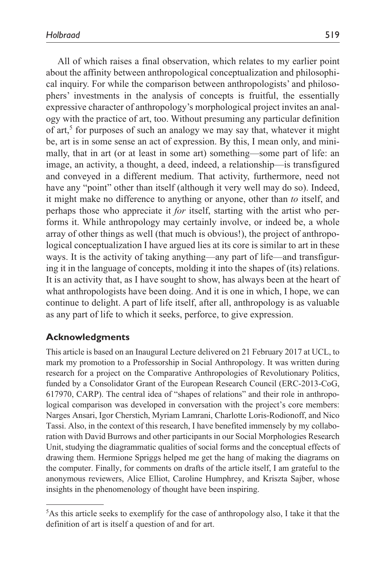All of which raises a final observation, which relates to my earlier point about the affinity between anthropological conceptualization and philosophical inquiry. For while the comparison between anthropologists' and philosophers' investments in the analysis of concepts is fruitful, the essentially expressive character of anthropology's morphological project invites an analogy with the practice of art, too. Without presuming any particular definition of art,<sup>5</sup> for purposes of such an analogy we may say that, whatever it might be, art is in some sense an act of expression. By this, I mean only, and minimally, that in art (or at least in some art) something—some part of life: an image, an activity, a thought, a deed, indeed, a relationship—is transfigured and conveyed in a different medium. That activity, furthermore, need not have any "point" other than itself (although it very well may do so). Indeed, it might make no difference to anything or anyone, other than *to* itself, and perhaps those who appreciate it *for* itself, starting with the artist who performs it. While anthropology may certainly involve, or indeed be, a whole array of other things as well (that much is obvious!), the project of anthropological conceptualization I have argued lies at its core is similar to art in these ways. It is the activity of taking anything—any part of life—and transfiguring it in the language of concepts, molding it into the shapes of (its) relations. It is an activity that, as I have sought to show, has always been at the heart of what anthropologists have been doing. And it is one in which, I hope, we can continue to delight. A part of life itself, after all, anthropology is as valuable as any part of life to which it seeks, perforce, to give expression.

### **Acknowledgments**

This article is based on an Inaugural Lecture delivered on 21 February 2017 at UCL, to mark my promotion to a Professorship in Social Anthropology. It was written during research for a project on the Comparative Anthropologies of Revolutionary Politics, funded by a Consolidator Grant of the European Research Council (ERC-2013-CoG, 617970, CARP). The central idea of "shapes of relations" and their role in anthropological comparison was developed in conversation with the project's core members: Narges Ansari, Igor Cherstich, Myriam Lamrani, Charlotte Loris-Rodionoff, and Nico Tassi. Also, in the context of this research, I have benefited immensely by my collaboration with David Burrows and other participants in our Social Morphologies Research Unit, studying the diagrammatic qualities of social forms and the conceptual effects of drawing them. Hermione Spriggs helped me get the hang of making the diagrams on the computer. Finally, for comments on drafts of the article itself, I am grateful to the anonymous reviewers, Alice Elliot, Caroline Humphrey, and Kriszta Sajber, whose insights in the phenomenology of thought have been inspiring.

<sup>5</sup> As this article seeks to exemplify for the case of anthropology also, I take it that the definition of art is itself a question of and for art.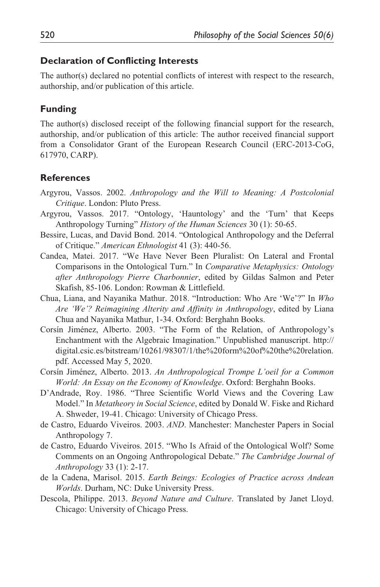#### **Declaration of Conflicting Interests**

The author(s) declared no potential conflicts of interest with respect to the research, authorship, and/or publication of this article.

#### **Funding**

The author(s) disclosed receipt of the following financial support for the research, authorship, and/or publication of this article: The author received financial support from a Consolidator Grant of the European Research Council (ERC-2013-CoG, 617970, CARP).

#### **References**

- Argyrou, Vassos. 2002. *Anthropology and the Will to Meaning: A Postcolonial Critique*. London: Pluto Press.
- Argyrou, Vassos. 2017. "Ontology, 'Hauntology' and the 'Turn' that Keeps Anthropology Turning" *History of the Human Sciences* 30 (1): 50-65.
- Bessire, Lucas, and David Bond. 2014. "Ontological Anthropology and the Deferral of Critique." *American Ethnologist* 41 (3): 440-56.
- Candea, Matei. 2017. "We Have Never Been Pluralist: On Lateral and Frontal Comparisons in the Ontological Turn." In *Comparative Metaphysics: Ontology after Anthropology Pierre Charbonnier*, edited by Gildas Salmon and Peter Skafish, 85-106. London: Rowman & Littlefield.
- Chua, Liana, and Nayanika Mathur. 2018. "Introduction: Who Are 'We'?" In *Who Are 'We'? Reimagining Alterity and Affinity in Anthropology*, edited by Liana Chua and Nayanika Mathur, 1-34. Oxford: Berghahn Books.
- Corsín Jiménez, Alberto. 2003. "The Form of the Relation, of Anthropology's Enchantment with the Algebraic Imagination." Unpublished manuscript. [http://](http://digital.csic.es/bitstream/10261/98307/1/the%20form%20of%20the%20relation.pdf) [digital.csic.es/bitstream/10261/98307/1/the%20form%20of%20the%20relation.](http://digital.csic.es/bitstream/10261/98307/1/the%20form%20of%20the%20relation.pdf) [pdf.](http://digital.csic.es/bitstream/10261/98307/1/the%20form%20of%20the%20relation.pdf) Accessed May 5, 2020.
- Corsín Jiménez, Alberto. 2013. *An Anthropological Trompe L'oeil for a Common World: An Essay on the Economy of Knowledge*. Oxford: Berghahn Books.
- D'Andrade, Roy. 1986. "Three Scientific World Views and the Covering Law Model." In *Metatheory in Social Science*, edited by Donald W. Fiske and Richard A. Shweder, 19-41. Chicago: University of Chicago Press.
- de Castro, Eduardo Viveiros. 2003. *AND*. Manchester: Manchester Papers in Social Anthropology 7.
- de Castro, Eduardo Viveiros. 2015. "Who Is Afraid of the Ontological Wolf? Some Comments on an Ongoing Anthropological Debate." *The Cambridge Journal of Anthropology* 33 (1): 2-17.
- de la Cadena, Marisol. 2015. *Earth Beings: Ecologies of Practice across Andean Worlds*. Durham, NC: Duke University Press.
- Descola, Philippe. 2013. *Beyond Nature and Culture*. Translated by Janet Lloyd. Chicago: University of Chicago Press.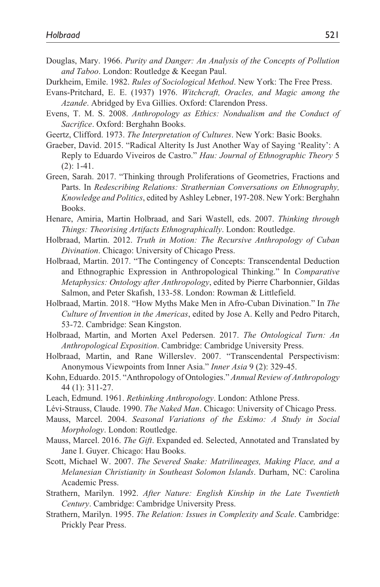- Douglas, Mary. 1966. *Purity and Danger: An Analysis of the Concepts of Pollution and Taboo*. London: Routledge & Keegan Paul.
- Durkheim, Emile. 1982. *Rules of Sociological Method*. New York: The Free Press.
- Evans-Pritchard, E. E. (1937) 1976. *Witchcraft, Oracles, and Magic among the Azande*. Abridged by Eva Gillies. Oxford: Clarendon Press.
- Evens, T. M. S. 2008. *Anthropology as Ethics: Nondualism and the Conduct of Sacrifice*. Oxford: Berghahn Books.
- Geertz, Clifford. 1973. *The Interpretation of Cultures*. New York: Basic Books.
- Graeber, David. 2015. "Radical Alterity Is Just Another Way of Saying 'Reality': A Reply to Eduardo Viveiros de Castro." *Hau: Journal of Ethnographic Theory* 5 (2): 1-41.
- Green, Sarah. 2017. "Thinking through Proliferations of Geometries, Fractions and Parts. In *Redescribing Relations: Strathernian Conversations on Ethnography, Knowledge and Politics*, edited by Ashley Lebner, 197-208. New York: Berghahn Books.
- Henare, Amiria, Martin Holbraad, and Sari Wastell, eds. 2007. *Thinking through Things: Theorising Artifacts Ethnographically*. London: Routledge.
- Holbraad, Martin. 2012. *Truth in Motion: The Recursive Anthropology of Cuban Divination*. Chicago: University of Chicago Press.
- Holbraad, Martin. 2017. "The Contingency of Concepts: Transcendental Deduction and Ethnographic Expression in Anthropological Thinking." In *Comparative Metaphysics: Ontology after Anthropology*, edited by Pierre Charbonnier, Gildas Salmon, and Peter Skafish, 133-58. London: Rowman & Littlefield.
- Holbraad, Martin. 2018. "How Myths Make Men in Afro-Cuban Divination." In *The Culture of Invention in the Americas*, edited by Jose A. Kelly and Pedro Pitarch, 53-72. Cambridge: Sean Kingston.
- Holbraad, Martin, and Morten Axel Pedersen. 2017. *The Ontological Turn: An Anthropological Exposition*. Cambridge: Cambridge University Press.
- Holbraad, Martin, and Rane Willerslev. 2007. "Transcendental Perspectivism: Anonymous Viewpoints from Inner Asia." *Inner Asia* 9 (2): 329-45.
- Kohn, Eduardo. 2015. "Anthropology of Ontologies." *Annual Review of Anthropology* 44 (1): 311-27.
- Leach, Edmund. 1961. *Rethinking Anthropology*. London: Athlone Press.
- Lévi-Strauss, Claude. 1990. *The Naked Man*. Chicago: University of Chicago Press.
- Mauss, Marcel. 2004. *Seasonal Variations of the Eskimo: A Study in Social Morphology*. London: Routledge.
- Mauss, Marcel. 2016. *The Gift*. Expanded ed. Selected, Annotated and Translated by Jane I. Guyer. Chicago: Hau Books.
- Scott, Michael W. 2007. *The Severed Snake: Matrilineages, Making Place, and a Melanesian Christianity in Southeast Solomon Islands*. Durham, NC: Carolina Academic Press.
- Strathern, Marilyn. 1992. *After Nature: English Kinship in the Late Twentieth Century*. Cambridge: Cambridge University Press.
- Strathern, Marilyn. 1995. *The Relation: Issues in Complexity and Scale*. Cambridge: Prickly Pear Press.